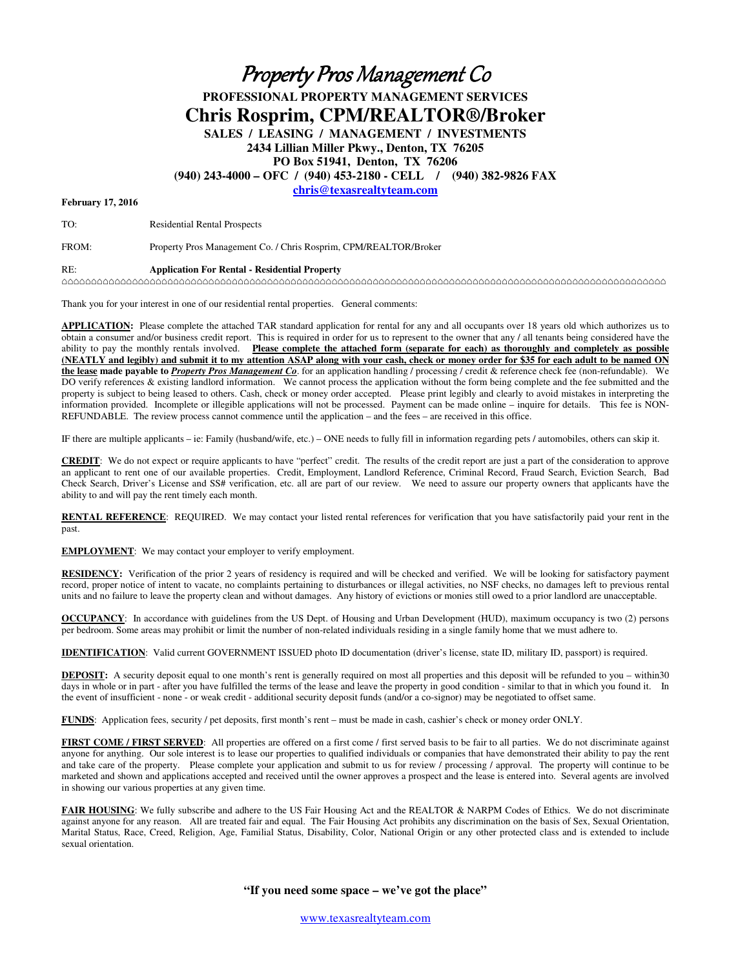# Property Pros Management Co **PROFESSIONAL PROPERTY MANAGEMENT SERVICES Chris Rosprim, CPM/REALTOR®/Broker SALES / LEASING / MANAGEMENT / INVESTMENTS 2434 Lillian Miller Pkwy., Denton, TX 76205 PO Box 51941, Denton, TX 76206 (940) 243-4000 – OFC / (940) 453-2180 - CELL / (940) 382-9826 FAX chris@texasrealtyteam.com**

#### **February 17, 2016**

TO: Residential Rental Prospects

FROM: Property Pros Management Co. / Chris Rosprim, CPM/REALTOR/Broker

## RE: **Application For Rental - Residential Property**

⌂⌂⌂⌂⌂⌂⌂⌂⌂⌂⌂⌂⌂⌂⌂⌂⌂⌂⌂⌂⌂⌂⌂⌂⌂⌂⌂⌂⌂⌂⌂⌂⌂⌂⌂⌂⌂⌂⌂⌂⌂⌂⌂⌂⌂⌂⌂⌂⌂⌂⌂⌂⌂⌂⌂⌂⌂⌂⌂⌂⌂⌂⌂⌂⌂⌂⌂⌂⌂⌂⌂⌂⌂⌂⌂⌂⌂⌂⌂⌂⌂⌂⌂⌂⌂⌂⌂⌂⌂⌂⌂⌂⌂⌂⌂⌂⌂⌂⌂⌂⌂⌂⌂

Thank you for your interest in one of our residential rental properties. General comments:

**APPLICATION:** Please complete the attached TAR standard application for rental for any and all occupants over 18 years old which authorizes us to obtain a consumer and/or business credit report. This is required in order for us to represent to the owner that any / all tenants being considered have the ability to pay the monthly rentals involved. **Please complete the attached form (separate for each) as thoroughly and completely as possible (NEATLY and legibly) and submit it to my attention ASAP along with your cash, check or money order for \$35 for each adult to be named ON the lease made payable to** *Property Pros Management Co*. for an application handling / processing / credit & reference check fee (non-refundable). We DO verify references & existing landlord information. We cannot process the application without the form being complete and the fee submitted and the property is subject to being leased to others. Cash, check or money order accepted. Please print legibly and clearly to avoid mistakes in interpreting the information provided. Incomplete or illegible applications will not be processed. Payment can be made online – inquire for details. This fee is NON-REFUNDABLE. The review process cannot commence until the application – and the fees – are received in this office.

IF there are multiple applicants – ie: Family (husband/wife, etc.) – ONE needs to fully fill in information regarding pets / automobiles, others can skip it.

**CREDIT**: We do not expect or require applicants to have "perfect" credit. The results of the credit report are just a part of the consideration to approve an applicant to rent one of our available properties. Credit, Employment, Landlord Reference, Criminal Record, Fraud Search, Eviction Search, Bad Check Search, Driver's License and SS# verification, etc. all are part of our review. We need to assure our property owners that applicants have the ability to and will pay the rent timely each month.

**RENTAL REFERENCE**: REQUIRED. We may contact your listed rental references for verification that you have satisfactorily paid your rent in the past.

**EMPLOYMENT**: We may contact your employer to verify employment.

**RESIDENCY:** Verification of the prior 2 years of residency is required and will be checked and verified. We will be looking for satisfactory payment record, proper notice of intent to vacate, no complaints pertaining to disturbances or illegal activities, no NSF checks, no damages left to previous rental units and no failure to leave the property clean and without damages. Any history of evictions or monies still owed to a prior landlord are unacceptable.

**OCCUPANCY**: In accordance with guidelines from the US Dept. of Housing and Urban Development (HUD), maximum occupancy is two (2) persons per bedroom. Some areas may prohibit or limit the number of non-related individuals residing in a single family home that we must adhere to.

**IDENTIFICATION**: Valid current GOVERNMENT ISSUED photo ID documentation (driver's license, state ID, military ID, passport) is required.

**DEPOSIT:** A security deposit equal to one month's rent is generally required on most all properties and this deposit will be refunded to you – within30 days in whole or in part - after you have fulfilled the terms of the lease and leave the property in good condition - similar to that in which you found it. In the event of insufficient - none - or weak credit - additional security deposit funds (and/or a co-signor) may be negotiated to offset same.

**FUNDS**: Application fees, security / pet deposits, first month's rent – must be made in cash, cashier's check or money order ONLY.

**FIRST COME / FIRST SERVED:** All properties are offered on a first come / first served basis to be fair to all parties. We do not discriminate against anyone for anything. Our sole interest is to lease our properties to qualified individuals or companies that have demonstrated their ability to pay the rent and take care of the property. Please complete your application and submit to us for review / processing / approval. The property will continue to be marketed and shown and applications accepted and received until the owner approves a prospect and the lease is entered into. Several agents are involved in showing our various properties at any given time.

FAIR HOUSING: We fully subscribe and adhere to the US Fair Housing Act and the REALTOR & NARPM Codes of Ethics. We do not discriminate against anyone for any reason. All are treated fair and equal. The Fair Housing Act prohibits any discrimination on the basis of Sex, Sexual Orientation, Marital Status, Race, Creed, Religion, Age, Familial Status, Disability, Color, National Origin or any other protected class and is extended to include sexual orientation.

#### **"If you need some space – we've got the place"**